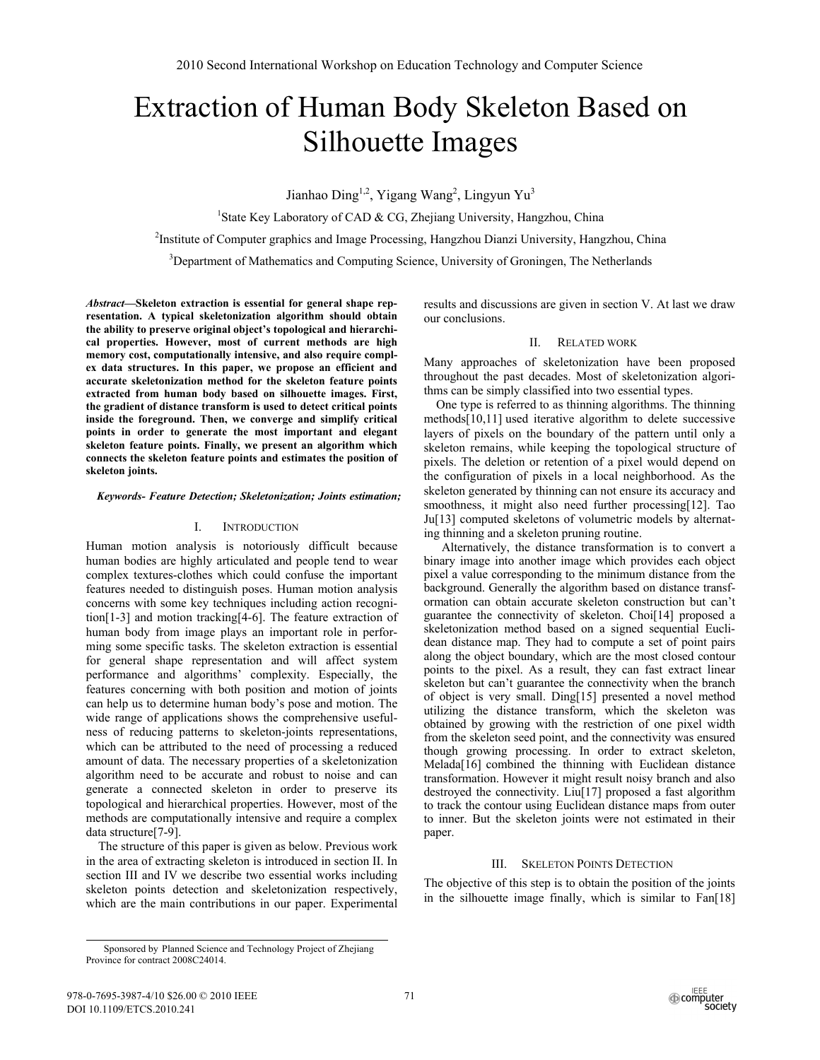# Extraction of Human Body Skeleton Based on Silhouette Images

Jianhao Ding<sup>1,2</sup>, Yigang Wang<sup>2</sup>, Lingyun Yu<sup>3</sup>

<sup>1</sup>State Key Laboratory of CAD & CG, Zhejiang University, Hangzhou, China

<sup>2</sup>Institute of Computer graphics and Image Processing, Hangzhou Dianzi University, Hangzhou, China

<sup>3</sup>Department of Mathematics and Computing Science, University of Groningen, The Netherlands

*Abstract***—Skeleton extraction is essential for general shape representation. A typical skeletonization algorithm should obtain the ability to preserve original object's topological and hierarchical properties. However, most of current methods are high memory cost, computationally intensive, and also require complex data structures. In this paper, we propose an efficient and accurate skeletonization method for the skeleton feature points extracted from human body based on silhouette images. First, the gradient of distance transform is used to detect critical points inside the foreground. Then, we converge and simplify critical points in order to generate the most important and elegant skeleton feature points. Finally, we present an algorithm which connects the skeleton feature points and estimates the position of skeleton joints.** 

#### *Keywords- Feature Detection; Skeletonization; Joints estimation;*

## I. INTRODUCTION

Human motion analysis is notoriously difficult because human bodies are highly articulated and people tend to wear complex textures-clothes which could confuse the important features needed to distinguish poses. Human motion analysis concerns with some key techniques including action recognition[1-3] and motion tracking[4-6]. The feature extraction of human body from image plays an important role in performing some specific tasks. The skeleton extraction is essential for general shape representation and will affect system performance and algorithms' complexity. Especially, the features concerning with both position and motion of joints can help us to determine human body's pose and motion. The wide range of applications shows the comprehensive usefulness of reducing patterns to skeleton-joints representations, which can be attributed to the need of processing a reduced amount of data. The necessary properties of a skeletonization algorithm need to be accurate and robust to noise and can generate a connected skeleton in order to preserve its topological and hierarchical properties. However, most of the methods are computationally intensive and require a complex data structure[7-9].

The structure of this paper is given as below. Previous work in the area of extracting skeleton is introduced in section II. In section III and IV we describe two essential works including skeleton points detection and skeletonization respectively, which are the main contributions in our paper. Experimental results and discussions are given in section V. At last we draw our conclusions.

#### II. RELATED WORK

Many approaches of skeletonization have been proposed throughout the past decades. Most of skeletonization algorithms can be simply classified into two essential types.

One type is referred to as thinning algorithms. The thinning methods[10,11] used iterative algorithm to delete successive layers of pixels on the boundary of the pattern until only a skeleton remains, while keeping the topological structure of pixels. The deletion or retention of a pixel would depend on the configuration of pixels in a local neighborhood. As the skeleton generated by thinning can not ensure its accuracy and smoothness, it might also need further processing[12]. Tao Ju[13] computed skeletons of volumetric models by alternating thinning and a skeleton pruning routine.

Alternatively, the distance transformation is to convert a binary image into another image which provides each object pixel a value corresponding to the minimum distance from the background. Generally the algorithm based on distance transformation can obtain accurate skeleton construction but can't guarantee the connectivity of skeleton. Choi[14] proposed a skeletonization method based on a signed sequential Euclidean distance map. They had to compute a set of point pairs along the object boundary, which are the most closed contour points to the pixel. As a result, they can fast extract linear skeleton but can't guarantee the connectivity when the branch of object is very small. Ding[15] presented a novel method utilizing the distance transform, which the skeleton was obtained by growing with the restriction of one pixel width from the skeleton seed point, and the connectivity was ensured though growing processing. In order to extract skeleton, Melada<sup>[16]</sup> combined the thinning with Euclidean distance transformation. However it might result noisy branch and also destroyed the connectivity. Liu[17] proposed a fast algorithm to track the contour using Euclidean distance maps from outer to inner. But the skeleton joints were not estimated in their paper.

## III. SKELETON POINTS DETECTION

The objective of this step is to obtain the position of the joints in the silhouette image finally, which is similar to Fan[18]

Sponsored by Planned Science and Technology Project of Zhejiang Province for contract 2008C24014.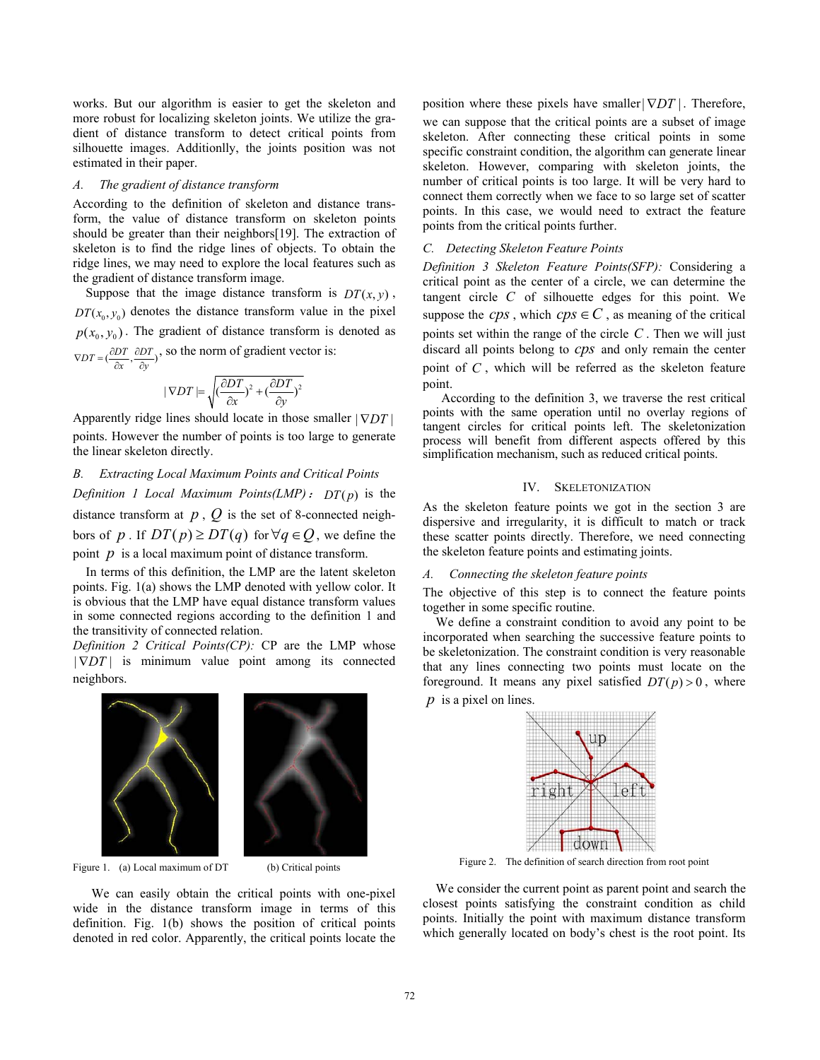works. But our algorithm is easier to get the skeleton and more robust for localizing skeleton joints. We utilize the gradient of distance transform to detect critical points from silhouette images. Additionlly, the joints position was not estimated in their paper.

## *A. The gradient of distance transform*

According to the definition of skeleton and distance transform, the value of distance transform on skeleton points should be greater than their neighbors[19]. The extraction of skeleton is to find the ridge lines of objects. To obtain the ridge lines, we may need to explore the local features such as the gradient of distance transform image.

Suppose that the image distance transform is  $DT(x, y)$ ,  $DT(x_0, y_0)$  denotes the distance transform value in the pixel  $p(x_0, y_0)$ . The gradient of distance transform is denoted as  $\nabla DT = (\frac{\partial DT}{\partial x}, \frac{\partial DT}{\partial y})$ , so the norm of gradient vector is:

$$
|\nabla DT| = \sqrt{\left(\frac{\partial DT}{\partial x}\right)^2 + \left(\frac{\partial DT}{\partial y}\right)^2}
$$

Apparently ridge lines should locate in those smaller  $|\nabla DT|$ points. However the number of points is too large to generate the linear skeleton directly.

# *B. Extracting Local Maximum Points and Critical Points*

*Definition 1 Local Maximum Points(LMP)*:  $DT(p)$  is the distance transform at  $p$ ,  $Q$  is the set of 8-connected neighbors of *p*. If  $DT(p) \geq DT(q)$  for  $\forall q \in Q$ , we define the point  $p$  is a local maximum point of distance transform.

In terms of this definition, the LMP are the latent skeleton points. Fig. 1(a) shows the LMP denoted with yellow color. It is obvious that the LMP have equal distance transform values in some connected regions according to the definition 1 and the transitivity of connected relation.

*Definition 2 Critical Points(CP):* CP are the LMP whose  $|\nabla DT|$  is minimum value point among its connected neighbors.



Figure 1. (a) Local maximum of DT (b) Critical points

We can easily obtain the critical points with one-pixel wide in the distance transform image in terms of this definition. Fig. 1(b) shows the position of critical points denoted in red color. Apparently, the critical points locate the position where these pixels have smaller  $|\nabla DT|$ . Therefore, we can suppose that the critical points are a subset of image skeleton. After connecting these critical points in some specific constraint condition, the algorithm can generate linear skeleton. However, comparing with skeleton joints, the number of critical points is too large. It will be very hard to connect them correctly when we face to so large set of scatter points. In this case, we would need to extract the feature points from the critical points further.

# *C. Detecting Skeleton Feature Points*

*Definition 3 Skeleton Feature Points(SFP):* Considering a critical point as the center of a circle, we can determine the tangent circle *C* of silhouette edges for this point. We suppose the  $cps$ , which  $cps \in C$ , as meaning of the critical points set within the range of the circle *C* . Then we will just discard all points belong to *cps* and only remain the center point of *C* , which will be referred as the skeleton feature point.

According to the definition 3, we traverse the rest critical points with the same operation until no overlay regions of tangent circles for critical points left. The skeletonization process will benefit from different aspects offered by this simplification mechanism, such as reduced critical points.

## IV. SKELETONIZATION

As the skeleton feature points we got in the section 3 are dispersive and irregularity, it is difficult to match or track these scatter points directly. Therefore, we need connecting the skeleton feature points and estimating joints.

## *A. Connecting the skeleton feature points*

The objective of this step is to connect the feature points together in some specific routine.

We define a constraint condition to avoid any point to be incorporated when searching the successive feature points to be skeletonization. The constraint condition is very reasonable that any lines connecting two points must locate on the foreground. It means any pixel satisfied  $DT(n) > 0$ , where





Figure 2. The definition of search direction from root point

We consider the current point as parent point and search the closest points satisfying the constraint condition as child points. Initially the point with maximum distance transform which generally located on body's chest is the root point. Its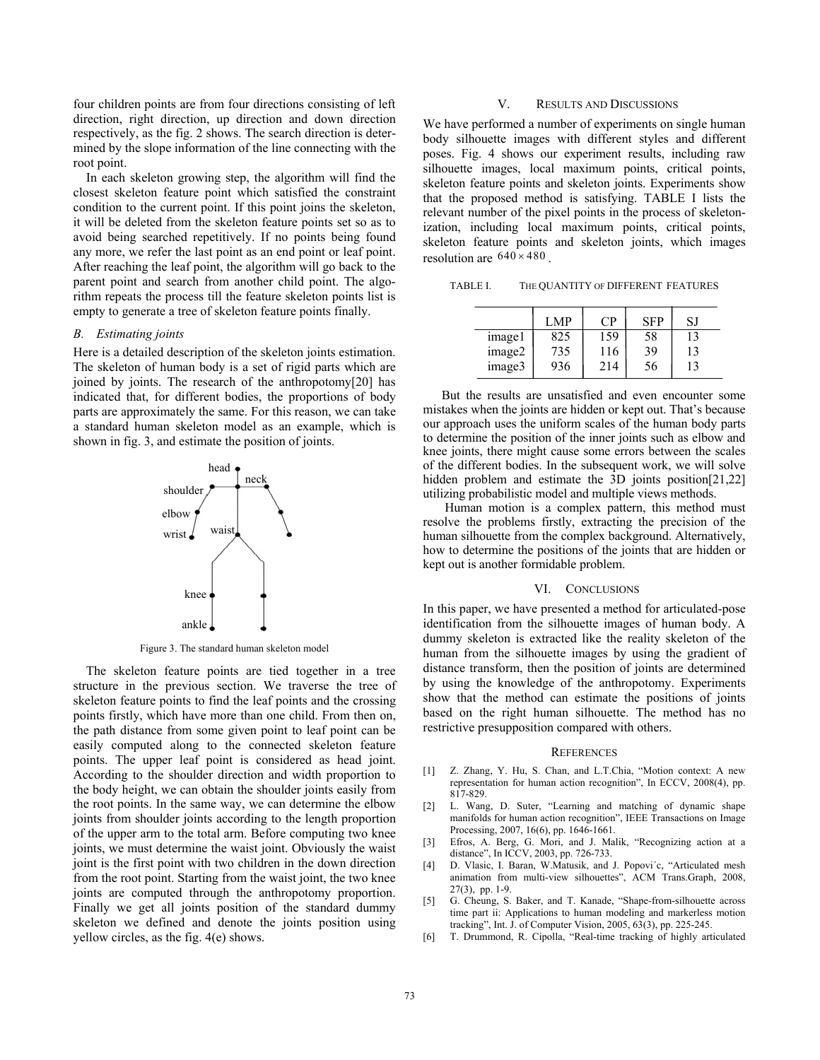four children points are from four directions consisting of left direction, right direction, up direction and down direction respectively, as the fig. 2 shows. The search direction is determined by the slope information of the line connecting with the root point.

In each skeleton growing step, the algorithm will find the closest skeleton feature point which satisfied the constraint condition to the current point. If this point joins the skeleton, it will be deleted from the skeleton feature points set so as to avoid being searched repetitively. If no points being found any more, we refer the last point as an end point or leaf point. After reaching the leaf point, the algorithm will go back to the parent point and search from another child point. The algorithm repeats the process till the feature skeleton points list is empty to generate a tree of skeleton feature points finally.

## *B. Estimating joints*

Here is a detailed description of the skeleton joints estimation. The skeleton of human body is a set of rigid parts which are joined by joints. The research of the anthropotomy[20] has indicated that, for different bodies, the proportions of body parts are approximately the same. For this reason, we can take a standard human skeleton model as an example, which is shown in fig. 3, and estimate the position of joints.



Figure 3. The standard human skeleton model

The skeleton feature points are tied together in a tree structure in the previous section. We traverse the tree of skeleton feature points to find the leaf points and the crossing points firstly, which have more than one child. From then on, the path distance from some given point to leaf point can be easily computed along to the connected skeleton feature points. The upper leaf point is considered as head joint. According to the shoulder direction and width proportion to the body height, we can obtain the shoulder joints easily from the root points. In the same way, we can determine the elbow joints from shoulder joints according to the length proportion of the upper arm to the total arm. Before computing two knee joints, we must determine the waist joint. Obviously the waist joint is the first point with two children in the down direction from the root point. Starting from the waist joint, the two knee joints are computed through the anthropotomy proportion. Finally we get all joints position of the standard dummy skeleton we defined and denote the joints position using yellow circles, as the fig. 4(e) shows.

# V. RESULTS AND DISCUSSIONS

We have performed a number of experiments on single human body silhouette images with different styles and different poses. Fig. 4 shows our experiment results, including raw silhouette images, local maximum points, critical points, skeleton feature points and skeleton joints. Experiments show that the proposed method is satisfying. TABLE I lists the relevant number of the pixel points in the process of skeletonization, including local maximum points, critical points, skeleton feature points and skeleton joints, which images resolution are  $640 \times 480$ .

TABLE I. THE QUANTITY OF DIFFERENT FEATURES

|        | I MP | CΡ  | <b>SFP</b> |    |
|--------|------|-----|------------|----|
| image1 | 325  | 159 | 58         |    |
| image2 | 735  | 116 | 39         | 13 |
| image3 | 936  | 214 | 56         | 13 |

But the results are unsatisfied and even encounter some mistakes when the joints are hidden or kept out. That's because our approach uses the uniform scales of the human body parts to determine the position of the inner joints such as elbow and knee joints, there might cause some errors between the scales of the different bodies. In the subsequent work, we will solve hidden problem and estimate the 3D joints position[21,22] shoulder **the contract of the contract of the shoulder**  $\sim$  utilizing probabilistic model and multiple views methods.

 Human motion is a complex pattern, this method must resolve the problems firstly, extracting the precision of the human silhouette from the complex background. Alternatively, how to determine the positions of the joints that are hidden or kept out is another formidable problem.

## VI. CONCLUSIONS

In this paper, we have presented a method for articulated-pose identification from the silhouette images of human body. A dummy skeleton is extracted like the reality skeleton of the human from the silhouette images by using the gradient of distance transform, then the position of joints are determined by using the knowledge of the anthropotomy. Experiments show that the method can estimate the positions of joints based on the right human silhouette. The method has no restrictive presupposition compared with others.

#### **REFERENCES**

- [1] Z. Zhang, Y. Hu, S. Chan, and L.T.Chia, "Motion context: A new representation for human action recognition", In ECCV, 2008(4), pp. 817-829.
- [2] L. Wang, D. Suter, "Learning and matching of dynamic shape manifolds for human action recognition", IEEE Transactions on Image Processing, 2007, 16(6), pp. 1646-1661.
- [3] Efros, A. Berg, G. Mori, and J. Malik, "Recognizing action at a distance", In ICCV, 2003, pp. 726-733.
- [4] D. Vlasic, I. Baran, W.Matusik, and J. Popovi'c, "Articulated mesh animation from multi-view silhouettes", ACM Trans.Graph, 2008, 27(3), pp. 1-9.
- [5] G. Cheung, S. Baker, and T. Kanade, "Shape-from-silhouette across time part ii: Applications to human modeling and markerless motion tracking", Int. J. of Computer Vision, 2005, 63(3), pp. 225-245.
- [6] T. Drummond, R. Cipolla, "Real-time tracking of highly articulated